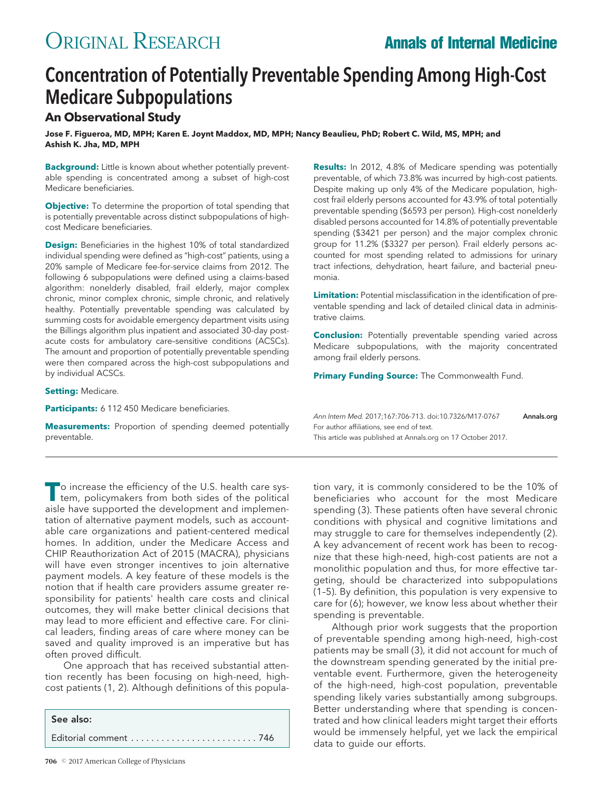# ORIGINAL RESEARCH **Annals of Internal Medicine**

## Concentration of Potentially Preventable Spending Among High-Cost Medicare Subpopulations

### **An Observational Study**

**Jose F. Figueroa, MD, MPH; Karen E. Joynt Maddox, MD, MPH; Nancy Beaulieu, PhD; Robert C. Wild, MS, MPH; and Ashish K. Jha, MD, MPH**

**Background:** Little is known about whether potentially preventable spending is concentrated among a subset of high-cost Medicare beneficiaries.

**Objective:** To determine the proportion of total spending that is potentially preventable across distinct subpopulations of highcost Medicare beneficiaries.

**Design:** Beneficiaries in the highest 10% of total standardized individual spending were defined as "high-cost" patients, using a 20% sample of Medicare fee-for-service claims from 2012. The following 6 subpopulations were defined using a claims-based algorithm: nonelderly disabled, frail elderly, major complex chronic, minor complex chronic, simple chronic, and relatively healthy. Potentially preventable spending was calculated by summing costs for avoidable emergency department visits using the Billings algorithm plus inpatient and associated 30-day postacute costs for ambulatory care–sensitive conditions (ACSCs). The amount and proportion of potentially preventable spending were then compared across the high-cost subpopulations and by individual ACSCs.

**Setting:** Medicare.

Participants: 6 112 450 Medicare beneficiaries.

**Measurements:** Proportion of spending deemed potentially preventable.

**Results:** In 2012, 4.8% of Medicare spending was potentially preventable, of which 73.8% was incurred by high-cost patients. Despite making up only 4% of the Medicare population, highcost frail elderly persons accounted for 43.9% of total potentially preventable spending (\$6593 per person). High-cost nonelderly disabled persons accounted for 14.8% of potentially preventable spending (\$3421 per person) and the major complex chronic group for 11.2% (\$3327 per person). Frail elderly persons accounted for most spending related to admissions for urinary tract infections, dehydration, heart failure, and bacterial pneumonia.

**Limitation:** Potential misclassification in the identification of preventable spending and lack of detailed clinical data in administrative claims.

**Conclusion:** Potentially preventable spending varied across Medicare subpopulations, with the majority concentrated among frail elderly persons.

**Primary Funding Source:** The Commonwealth Fund.

Ann Intern Med. 2017;167:706-713. doi:10.7326/M17-0767 **[Annals.org](http://www.annals.org)** For author affiliations, see end of text. This article was published at [Annals.org](http://www.annals.org) on 17 October 2017.

**T**o increase the efficiency of the U.S. health care system, policymakers from both sides of the political aisle have supported the development and implementation of alternative payment models, such as accountable care organizations and patient-centered medical homes. In addition, under the Medicare Access and CHIP Reauthorization Act of 2015 (MACRA), physicians will have even stronger incentives to join alternative payment models. A key feature of these models is the notion that if health care providers assume greater responsibility for patients' health care costs and clinical outcomes, they will make better clinical decisions that may lead to more efficient and effective care. For clinical leaders, finding areas of care where money can be saved and quality improved is an imperative but has often proved difficult.

One approach that has received substantial attention recently has been focusing on high-need, highcost patients (1, 2). Although definitions of this popula-

See also: Editorial comment . . . . . . . . . . . . . . . . . . . . . . . . . 746

tion vary, it is commonly considered to be the 10% of beneficiaries who account for the most Medicare spending (3). These patients often have several chronic conditions with physical and cognitive limitations and may struggle to care for themselves independently (2). A key advancement of recent work has been to recognize that these high-need, high-cost patients are not a monolithic population and thus, for more effective targeting, should be characterized into subpopulations (1–5). By definition, this population is very expensive to care for (6); however, we know less about whether their spending is preventable.

Although prior work suggests that the proportion of preventable spending among high-need, high-cost patients may be small (3), it did not account for much of the downstream spending generated by the initial preventable event. Furthermore, given the heterogeneity of the high-need, high-cost population, preventable spending likely varies substantially among subgroups. Better understanding where that spending is concentrated and how clinical leaders might target their efforts would be immensely helpful, yet we lack the empirical data to guide our efforts.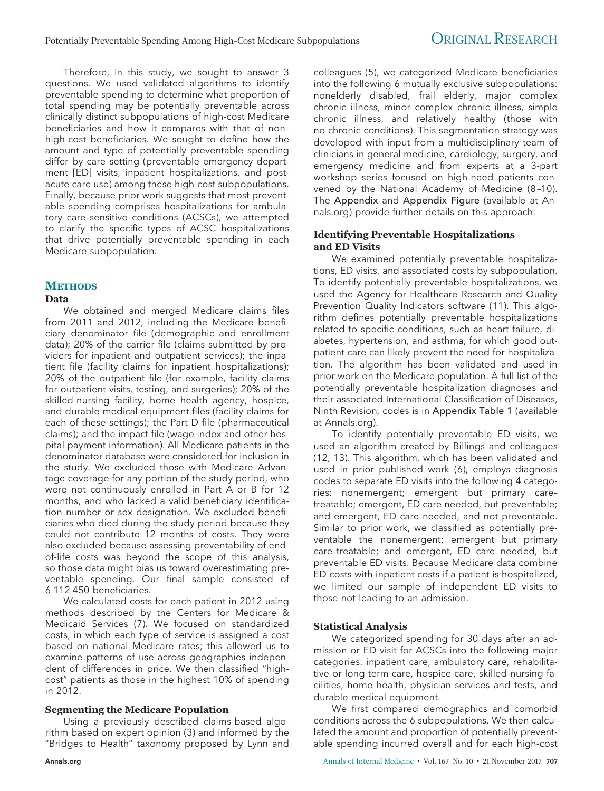Therefore, in this study, we sought to answer 3 questions. We used validated algorithms to identify preventable spending to determine what proportion of total spending may be potentially preventable across clinically distinct subpopulations of high-cost Medicare beneficiaries and how it compares with that of non– high-cost beneficiaries. We sought to define how the amount and type of potentially preventable spending differ by care setting (preventable emergency department [ED] visits, inpatient hospitalizations, and postacute care use) among these high-cost subpopulations. Finally, because prior work suggests that most preventable spending comprises hospitalizations for ambulatory care–sensitive conditions (ACSCs), we attempted to clarify the specific types of ACSC hospitalizations that drive potentially preventable spending in each Medicare subpopulation.

### **METHODS**

#### **Data**

We obtained and merged Medicare claims files from 2011 and 2012, including the Medicare beneficiary denominator file (demographic and enrollment data); 20% of the carrier file (claims submitted by providers for inpatient and outpatient services); the inpatient file (facility claims for inpatient hospitalizations); 20% of the outpatient file (for example, facility claims for outpatient visits, testing, and surgeries); 20% of the skilled-nursing facility, home health agency, hospice, and durable medical equipment files (facility claims for each of these settings); the Part D file (pharmaceutical claims); and the impact file (wage index and other hospital payment information). All Medicare patients in the denominator database were considered for inclusion in the study. We excluded those with Medicare Advantage coverage for any portion of the study period, who were not continuously enrolled in Part A or B for 12 months, and who lacked a valid beneficiary identification number or sex designation. We excluded beneficiaries who died during the study period because they could not contribute 12 months of costs. They were also excluded because assessing preventability of endof-life costs was beyond the scope of this analysis, so those data might bias us toward overestimating preventable spending. Our final sample consisted of 6 112 450 beneficiaries.

We calculated costs for each patient in 2012 using methods described by the Centers for Medicare & Medicaid Services (7). We focused on standardized costs, in which each type of service is assigned a cost based on national Medicare rates; this allowed us to examine patterns of use across geographies independent of differences in price. We then classified "highcost" patients as those in the highest 10% of spending in 2012.

#### **Segmenting the Medicare Population**

Using a previously described claims-based algorithm based on expert opinion (3) and informed by the "Bridges to Health" taxonomy proposed by Lynn and colleagues (5), we categorized Medicare beneficiaries into the following 6 mutually exclusive subpopulations: nonelderly disabled, frail elderly, major complex chronic illness, minor complex chronic illness, simple chronic illness, and relatively healthy (those with no chronic conditions). This segmentation strategy was developed with input from a multidisciplinary team of clinicians in general medicine, cardiology, surgery, and emergency medicine and from experts at a 3-part workshop series focused on high-need patients convened by the National Academy of Medicine (8 –10). The Appendix and Appendix Figure (available at [An](http://www.annals.org)[nals.org\)](http://www.annals.org) provide further details on this approach.

#### **Identifying Preventable Hospitalizations and ED Visits**

We examined potentially preventable hospitalizations, ED visits, and associated costs by subpopulation. To identify potentially preventable hospitalizations, we used the Agency for Healthcare Research and Quality Prevention Quality Indicators software (11). This algorithm defines potentially preventable hospitalizations related to specific conditions, such as heart failure, diabetes, hypertension, and asthma, for which good outpatient care can likely prevent the need for hospitalization. The algorithm has been validated and used in prior work on the Medicare population. A full list of the potentially preventable hospitalization diagnoses and their associated International Classification of Diseases, Ninth Revision, codes is in Appendix Table 1 (available at [Annals.org\)](http://www.annals.org).

To identify potentially preventable ED visits, we used an algorithm created by Billings and colleagues (12, 13). This algorithm, which has been validated and used in prior published work (6), employs diagnosis codes to separate ED visits into the following 4 categories: nonemergent; emergent but primary care– treatable; emergent, ED care needed, but preventable; and emergent, ED care needed, and not preventable. Similar to prior work, we classified as potentially preventable the nonemergent; emergent but primary care–treatable; and emergent, ED care needed, but preventable ED visits. Because Medicare data combine ED costs with inpatient costs if a patient is hospitalized, we limited our sample of independent ED visits to those not leading to an admission.

#### **Statistical Analysis**

We categorized spending for 30 days after an admission or ED visit for ACSCs into the following major categories: inpatient care, ambulatory care, rehabilitative or long-term care, hospice care, skilled-nursing facilities, home health, physician services and tests, and durable medical equipment.

We first compared demographics and comorbid conditions across the 6 subpopulations. We then calculated the amount and proportion of potentially preventable spending incurred overall and for each high-cost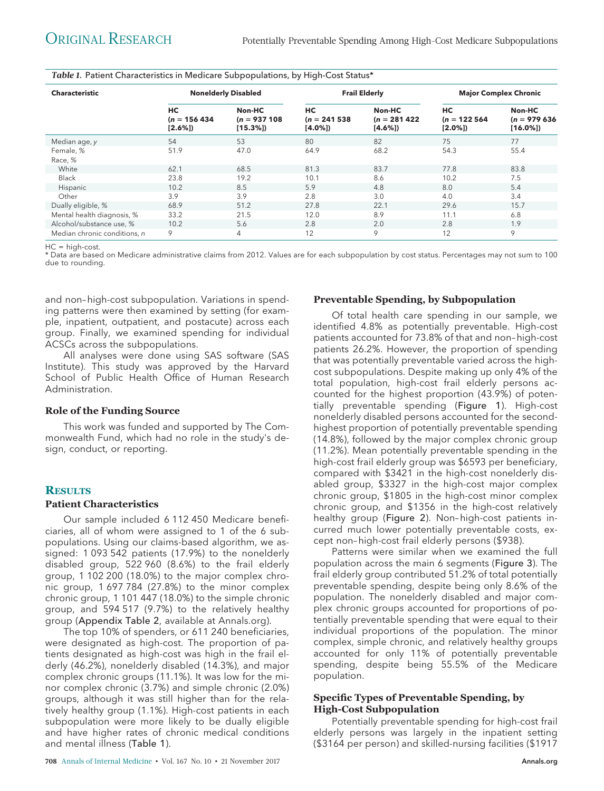| <b>Characteristic</b>        | <b>Nonelderly Disabled</b>        |                                         |                                   | <b>Frail Elderly</b>                  | <b>Major Complex Chronic</b>      |                                        |  |  |  |  |
|------------------------------|-----------------------------------|-----------------------------------------|-----------------------------------|---------------------------------------|-----------------------------------|----------------------------------------|--|--|--|--|
|                              | HC<br>$(n = 156434)$<br>$[2.6\%]$ | Non-HC<br>$(n = 937 108)$<br>$[15.3\%]$ | HC<br>$(n = 241538)$<br>$[4.0\%]$ | Non-HC<br>$(n = 281422)$<br>$[4.6\%]$ | HC<br>$(n = 122564)$<br>$[2.0\%]$ | Non-HC<br>$(n = 979636)$<br>$[16.0\%]$ |  |  |  |  |
| Median age, y                | 54                                | 53                                      | 80                                | 82                                    | 75                                | 77                                     |  |  |  |  |
| Female, %                    | 51.9                              | 47.0                                    | 64.9                              | 68.2                                  | 54.3                              | 55.4                                   |  |  |  |  |
| Race, %                      |                                   |                                         |                                   |                                       |                                   |                                        |  |  |  |  |
| White                        | 62.1                              | 68.5                                    | 81.3                              | 83.7                                  | 77.8                              | 83.8                                   |  |  |  |  |
| <b>Black</b>                 | 23.8                              | 19.2                                    | 10.1                              | 8.6                                   | 10.2                              | 7.5                                    |  |  |  |  |
| Hispanic                     | 10.2                              | 8.5                                     | 5.9                               | 4.8                                   | 8.0                               | 5.4                                    |  |  |  |  |
| Other                        | 3.9                               | 3.9                                     | 2.8                               | 3.0                                   | 4.0                               | 3.4                                    |  |  |  |  |
| Dually eligible, %           | 68.9                              | 51.2                                    | 27.8                              | 22.1                                  | 29.6                              | 15.7                                   |  |  |  |  |
| Mental health diagnosis, %   | 33.2                              | 21.5                                    | 12.0                              | 8.9                                   | 11.1                              | 6.8                                    |  |  |  |  |
| Alcohol/substance use, %     | 10.2                              | 5.6                                     | 2.8                               | 2.0                                   | 2.8                               | 1.9                                    |  |  |  |  |
| Median chronic conditions, n | 9                                 | 4                                       | 12                                | 9                                     | 12                                | 9                                      |  |  |  |  |

*Table 1.* Patient Characteristics in Medicare Subpopulations, by High-Cost Status\*

HC = high-cost.

\* Data are based on Medicare administrative claims from 2012. Values are for each subpopulation by cost status. Percentages may not sum to 100 due to rounding.

and non– high-cost subpopulation. Variations in spending patterns were then examined by setting (for example, inpatient, outpatient, and postacute) across each group. Finally, we examined spending for individual ACSCs across the subpopulations.

All analyses were done using SAS software (SAS Institute). This study was approved by the Harvard School of Public Health Office of Human Research Administration.

#### **Role of the Funding Source**

This work was funded and supported by The Commonwealth Fund, which had no role in the study's design, conduct, or reporting.

#### **RESULTS**

#### **Patient Characteristics**

Our sample included 6 112 450 Medicare beneficiaries, all of whom were assigned to 1 of the 6 subpopulations. Using our claims-based algorithm, we assigned: 1 093 542 patients (17.9%) to the nonelderly disabled group, 522 960 (8.6%) to the frail elderly group, 1 102 200 (18.0%) to the major complex chronic group, 1 697 784 (27.8%) to the minor complex chronic group, 1 101 447 (18.0%) to the simple chronic group, and 594 517 (9.7%) to the relatively healthy group (Appendix Table 2, available at [Annals.org\)](http://www.annals.org).

The top 10% of spenders, or 611 240 beneficiaries, were designated as high-cost. The proportion of patients designated as high-cost was high in the frail elderly (46.2%), nonelderly disabled (14.3%), and major complex chronic groups (11.1%). It was low for the minor complex chronic (3.7%) and simple chronic (2.0%) groups, although it was still higher than for the relatively healthy group (1.1%). High-cost patients in each subpopulation were more likely to be dually eligible and have higher rates of chronic medical conditions and mental illness (Table 1).

#### **Preventable Spending, by Subpopulation**

Of total health care spending in our sample, we identified 4.8% as potentially preventable. High-cost patients accounted for 73.8% of that and non– high-cost patients 26.2%. However, the proportion of spending that was potentially preventable varied across the highcost subpopulations. Despite making up only 4% of the total population, high-cost frail elderly persons accounted for the highest proportion (43.9%) of potentially preventable spending (Figure 1). High-cost nonelderly disabled persons accounted for the secondhighest proportion of potentially preventable spending (14.8%), followed by the major complex chronic group (11.2%). Mean potentially preventable spending in the high-cost frail elderly group was \$6593 per beneficiary, compared with \$3421 in the high-cost nonelderly disabled group, \$3327 in the high-cost major complex chronic group, \$1805 in the high-cost minor complex chronic group, and \$1356 in the high-cost relatively healthy group (Figure 2). Non-high-cost patients incurred much lower potentially preventable costs, except non– high-cost frail elderly persons (\$938).

Patterns were similar when we examined the full population across the main 6 segments (Figure 3). The frail elderly group contributed 51.2% of total potentially preventable spending, despite being only 8.6% of the population. The nonelderly disabled and major complex chronic groups accounted for proportions of potentially preventable spending that were equal to their individual proportions of the population. The minor complex, simple chronic, and relatively healthy groups accounted for only 11% of potentially preventable spending, despite being 55.5% of the Medicare population.

#### **Specific Types of Preventable Spending, by High-Cost Subpopulation**

Potentially preventable spending for high-cost frail elderly persons was largely in the inpatient setting (\$3164 per person) and skilled-nursing facilities (\$1917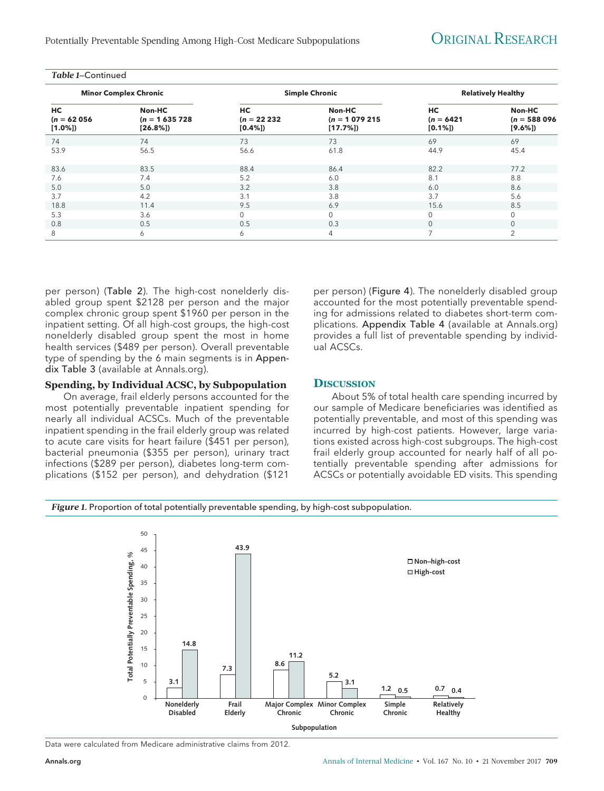Potentially Preventable Spending Among High-Cost Medicare Subpopulations **ORIGINAL RESEARCH** 

| Table 1–Continued                |                                         |                               |                                         |                                 |                                    |
|----------------------------------|-----------------------------------------|-------------------------------|-----------------------------------------|---------------------------------|------------------------------------|
|                                  | <b>Minor Complex Chronic</b>            |                               | <b>Simple Chronic</b>                   |                                 | <b>Relatively Healthy</b>          |
| HC<br>$(n = 62056)$<br>$[1.0\%]$ | Non-HC<br>$(n = 1635728)$<br>$[26.8\%]$ | НC<br>$(n = 22232)$<br>[0.4%] | Non-HC<br>$(n = 1079215)$<br>$[17.7\%]$ | HC<br>$(n = 6421)$<br>$[0.1\%]$ | Non-HC<br>$(n = 588096)$<br>[9.6%] |
| 74                               | 74                                      | 73                            | 73                                      | 69                              | 69                                 |
| 53.9                             | 56.5                                    | 56.6                          | 61.8                                    | 44.9                            | 45.4                               |
| 83.6                             | 83.5                                    | 88.4                          | 86.4                                    | 82.2                            | 77.2                               |
| 7.6                              | 7.4                                     | 5.2                           | 6.0                                     | 8.1                             | 8.8                                |
| 5.0                              | 5.0                                     | 3.2                           | 3.8                                     | 6.0                             | 8.6                                |
| 3.7                              | 4.2                                     | 3.1                           | 3.8                                     | 3.7                             | 5.6                                |
| 18.8                             | 11.4                                    | 9.5                           | 6.9                                     | 15.6                            | 8.5                                |
| 5.3                              | 3.6                                     | $\mathbf{0}$                  | $\Omega$                                | $\mathbf 0$                     | 0                                  |
| 0.8                              | 0.5                                     | 0.5                           | 0.3                                     | $\mathbf 0$                     | $\mathbf 0$                        |
| 8                                | 6                                       | 6                             | 4                                       | 7                               | 2                                  |

per person) (Table 2). The high-cost nonelderly disabled group spent \$2128 per person and the major complex chronic group spent \$1960 per person in the inpatient setting. Of all high-cost groups, the high-cost nonelderly disabled group spent the most in home health services (\$489 per person). Overall preventable type of spending by the 6 main segments is in Appendix Table 3 (available at [Annals.org\)](http://www.annals.org).

#### **Spending, by Individual ACSC, by Subpopulation**

On average, frail elderly persons accounted for the most potentially preventable inpatient spending for nearly all individual ACSCs. Much of the preventable inpatient spending in the frail elderly group was related to acute care visits for heart failure (\$451 per person), bacterial pneumonia (\$355 per person), urinary tract infections (\$289 per person), diabetes long-term complications (\$152 per person), and dehydration (\$121

per person) (Figure 4). The nonelderly disabled group accounted for the most potentially preventable spending for admissions related to diabetes short-term complications. Appendix Table 4 (available at [Annals.org\)](http://www.annals.org) provides a full list of preventable spending by individual ACSCs.

#### **DISCUSSION**

About 5% of total health care spending incurred by our sample of Medicare beneficiaries was identified as potentially preventable, and most of this spending was incurred by high-cost patients. However, large variations existed across high-cost subgroups. The high-cost frail elderly group accounted for nearly half of all potentially preventable spending after admissions for ACSCs or potentially avoidable ED visits. This spending

#### *Figure 1.* Proportion of total potentially preventable spending, by high-cost subpopulation.



Data were calculated from Medicare administrative claims from 2012.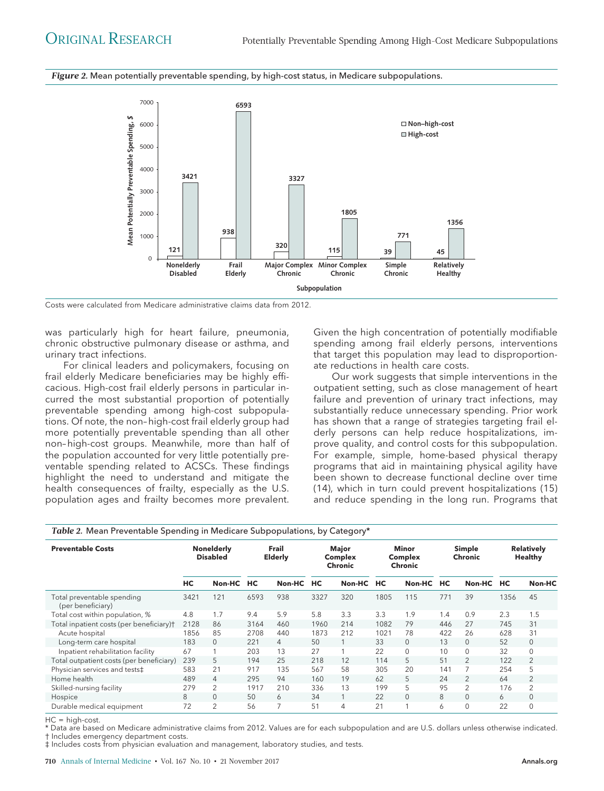*Figure 2.* Mean potentially preventable spending, by high-cost status, in Medicare subpopulations.



Costs were calculated from Medicare administrative claims data from 2012.

was particularly high for heart failure, pneumonia, chronic obstructive pulmonary disease or asthma, and urinary tract infections.

For clinical leaders and policymakers, focusing on frail elderly Medicare beneficiaries may be highly efficacious. High-cost frail elderly persons in particular incurred the most substantial proportion of potentially preventable spending among high-cost subpopulations. Of note, the non– high-cost frail elderly group had more potentially preventable spending than all other non– high-cost groups. Meanwhile, more than half of the population accounted for very little potentially preventable spending related to ACSCs. These findings highlight the need to understand and mitigate the health consequences of frailty, especially as the U.S. population ages and frailty becomes more prevalent.

Given the high concentration of potentially modifiable spending among frail elderly persons, interventions that target this population may lead to disproportionate reductions in health care costs.

Our work suggests that simple interventions in the outpatient setting, such as close management of heart failure and prevention of urinary tract infections, may substantially reduce unnecessary spending. Prior work has shown that a range of strategies targeting frail elderly persons can help reduce hospitalizations, improve quality, and control costs for this subpopulation. For example, simple, home-based physical therapy programs that aid in maintaining physical agility have been shown to decrease functional decline over time (14), which in turn could prevent hospitalizations (15) and reduce spending in the long run. Programs that

| Table 2. Mean Preventable Spending in Medicare Subpopulations, by Category* |                                      |                |                         |                |                                           |        |                                           |          |                          |                |                                     |                |
|-----------------------------------------------------------------------------|--------------------------------------|----------------|-------------------------|----------------|-------------------------------------------|--------|-------------------------------------------|----------|--------------------------|----------------|-------------------------------------|----------------|
| <b>Preventable Costs</b>                                                    | <b>Nonelderly</b><br><b>Disabled</b> |                | Frail<br><b>Elderly</b> |                | Major<br><b>Complex</b><br><b>Chronic</b> |        | <b>Minor</b><br>Complex<br><b>Chronic</b> |          | Simple<br><b>Chronic</b> |                | <b>Relatively</b><br><b>Healthy</b> |                |
|                                                                             | HС                                   | Non-HC         | HC                      | Non-HC         | <b>HC</b>                                 | Non-HC | НC                                        | Non-HC   | НC                       | Non-HC         | HC                                  | Non-HC         |
| Total preventable spending<br>(per beneficiary)                             | 3421                                 | 121            | 6593                    | 938            | 3327                                      | 320    | 1805                                      | 115      | 771                      | 39             | 1356                                | 45             |
| Total cost within population, %                                             | 4.8                                  | 1.7            | 9.4                     | 5.9            | 5.8                                       | 3.3    | 3.3                                       | 1.9      | 1.4                      | 0.9            | 2.3                                 | 1.5            |
| Total inpatient costs (per beneficiary)†                                    | 2128                                 | 86             | 3164                    | 460            | 1960                                      | 214    | 1082                                      | 79       | 446                      | 27             | 745                                 | 31             |
| Acute hospital                                                              | 1856                                 | 85             | 2708                    | 440            | 1873                                      | 212    | 1021                                      | 78       | 422                      | 26             | 628                                 | 31             |
| Long-term care hospital                                                     | 183                                  | 0              | 221                     | $\overline{4}$ | 50                                        |        | 33                                        | $\Omega$ | 13                       | 0              | 52                                  | $\mathbf{0}$   |
| Inpatient rehabilitation facility                                           | 67                                   |                | 203                     | 13             | 27                                        |        | 22                                        | $\Omega$ | 10                       | $\mathbf 0$    | 32                                  | $\Omega$       |
| Total outpatient costs (per beneficiary)                                    | 239                                  | 5              | 194                     | 25             | 218                                       | 12     | 114                                       | 5        | 51                       | $\overline{2}$ | 122                                 | $\overline{2}$ |
| Physician services and tests‡                                               | 583                                  | 21             | 917                     | 135            | 567                                       | 58     | 305                                       | 20       | 141                      |                | 254                                 | 5              |
| Home health                                                                 | 489                                  | 4              | 295                     | 94             | 160                                       | 19     | 62                                        | 5        | 24                       | $\overline{2}$ | 64                                  | 2              |
| Skilled-nursing facility                                                    | 279                                  | 2              | 1917                    | 210            | 336                                       | 13     | 199                                       | 5        | 95                       | 2              | 176                                 | 2              |
| Hospice                                                                     | 8                                    | $\Omega$       | 50                      | 6              | 34                                        |        | 22                                        | $\Omega$ | 8                        | $\Omega$       | 6                                   | $\Omega$       |
| Durable medical equipment                                                   | 72                                   | $\overline{2}$ | 56                      | 7              | 51                                        | 4      | 21                                        |          | 6                        | 0              | 22                                  | $\mathbf 0$    |

HC = high-cost.

\* Data are based on Medicare administrative claims from 2012. Values are for each subpopulation and are U.S. dollars unless otherwise indicated. † Includes emergency department costs.

‡ Includes costs from physician evaluation and management, laboratory studies, and tests.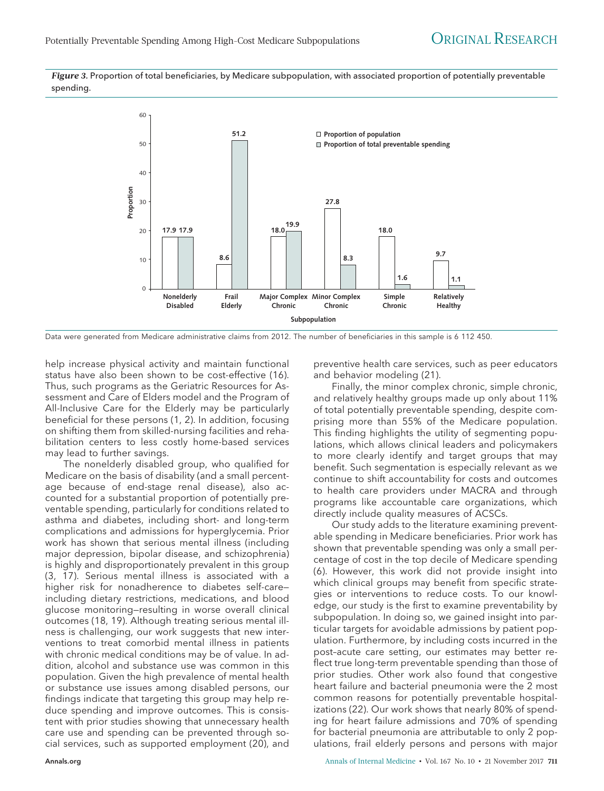*Figure 3.* Proportion of total beneficiaries, by Medicare subpopulation, with associated proportion of potentially preventable spending.





help increase physical activity and maintain functional status have also been shown to be cost-effective (16). Thus, such programs as the Geriatric Resources for Assessment and Care of Elders model and the Program of All-Inclusive Care for the Elderly may be particularly beneficial for these persons (1, 2). In addition, focusing on shifting them from skilled-nursing facilities and rehabilitation centers to less costly home-based services may lead to further savings.

The nonelderly disabled group, who qualified for Medicare on the basis of disability (and a small percentage because of end-stage renal disease), also accounted for a substantial proportion of potentially preventable spending, particularly for conditions related to asthma and diabetes, including short- and long-term complications and admissions for hyperglycemia. Prior work has shown that serious mental illness (including major depression, bipolar disease, and schizophrenia) is highly and disproportionately prevalent in this group (3, 17). Serious mental illness is associated with a higher risk for nonadherence to diabetes self-care including dietary restrictions, medications, and blood glucose monitoring—resulting in worse overall clinical outcomes (18, 19). Although treating serious mental illness is challenging, our work suggests that new interventions to treat comorbid mental illness in patients with chronic medical conditions may be of value. In addition, alcohol and substance use was common in this population. Given the high prevalence of mental health or substance use issues among disabled persons, our findings indicate that targeting this group may help reduce spending and improve outcomes. This is consistent with prior studies showing that unnecessary health care use and spending can be prevented through social services, such as supported employment (20), and

preventive health care services, such as peer educators and behavior modeling (21).

Finally, the minor complex chronic, simple chronic, and relatively healthy groups made up only about 11% of total potentially preventable spending, despite comprising more than 55% of the Medicare population. This finding highlights the utility of segmenting populations, which allows clinical leaders and policymakers to more clearly identify and target groups that may benefit. Such segmentation is especially relevant as we continue to shift accountability for costs and outcomes to health care providers under MACRA and through programs like accountable care organizations, which directly include quality measures of ACSCs.

Our study adds to the literature examining preventable spending in Medicare beneficiaries. Prior work has shown that preventable spending was only a small percentage of cost in the top decile of Medicare spending (6). However, this work did not provide insight into which clinical groups may benefit from specific strategies or interventions to reduce costs. To our knowledge, our study is the first to examine preventability by subpopulation. In doing so, we gained insight into particular targets for avoidable admissions by patient population. Furthermore, by including costs incurred in the post–acute care setting, our estimates may better reflect true long-term preventable spending than those of prior studies. Other work also found that congestive heart failure and bacterial pneumonia were the 2 most common reasons for potentially preventable hospitalizations (22). Our work shows that nearly 80% of spending for heart failure admissions and 70% of spending for bacterial pneumonia are attributable to only 2 populations, frail elderly persons and persons with major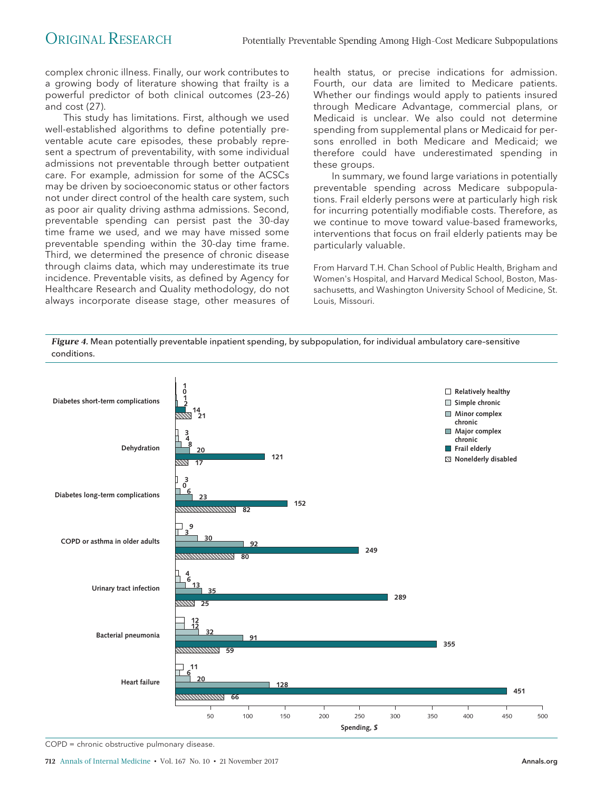complex chronic illness. Finally, our work contributes to a growing body of literature showing that frailty is a powerful predictor of both clinical outcomes (23–26) and cost (27).

This study has limitations. First, although we used well-established algorithms to define potentially preventable acute care episodes, these probably represent a spectrum of preventability, with some individual admissions not preventable through better outpatient care. For example, admission for some of the ACSCs may be driven by socioeconomic status or other factors not under direct control of the health care system, such as poor air quality driving asthma admissions. Second, preventable spending can persist past the 30-day time frame we used, and we may have missed some preventable spending within the 30-day time frame. Third, we determined the presence of chronic disease through claims data, which may underestimate its true incidence. Preventable visits, as defined by Agency for Healthcare Research and Quality methodology, do not always incorporate disease stage, other measures of

health status, or precise indications for admission. Fourth, our data are limited to Medicare patients. Whether our findings would apply to patients insured through Medicare Advantage, commercial plans, or Medicaid is unclear. We also could not determine spending from supplemental plans or Medicaid for persons enrolled in both Medicare and Medicaid; we therefore could have underestimated spending in these groups.

In summary, we found large variations in potentially preventable spending across Medicare subpopulations. Frail elderly persons were at particularly high risk for incurring potentially modifiable costs. Therefore, as we continue to move toward value-based frameworks, interventions that focus on frail elderly patients may be particularly valuable.

From Harvard T.H. Chan School of Public Health, Brigham and Women's Hospital, and Harvard Medical School, Boston, Massachusetts, and Washington University School of Medicine, St. Louis, Missouri.

*Figure 4.* Mean potentially preventable inpatient spending, by subpopulation, for individual ambulatory care–sensitive conditions.



COPD = chronic obstructive pulmonary disease.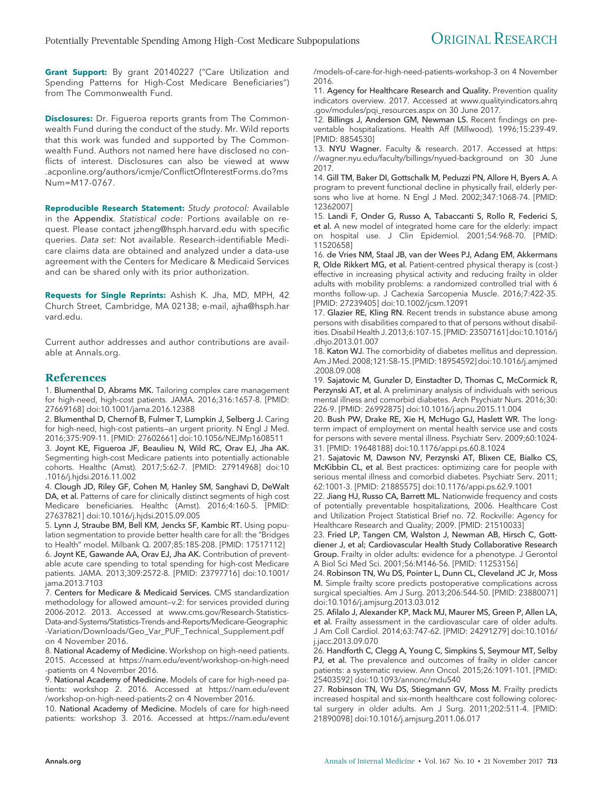**Grant Support:** By grant 20140227 ("Care Utilization and Spending Patterns for High-Cost Medicare Beneficiaries") from The Commonwealth Fund.

**Disclosures:** Dr. Figueroa reports grants from The Commonwealth Fund during the conduct of the study. Mr. Wild reports that this work was funded and supported by The Commonwealth Fund. Authors not named here have disclosed no conflicts of interest. Disclosures can also be viewed at [www](http://www.acponline.org/authors/icmje/ConflictOfInterestForms.do?msNum=M17-0767) [.acponline.org/authors/icmje/ConflictOfInterestForms.do?ms](http://www.acponline.org/authors/icmje/ConflictOfInterestForms.do?msNum=M17-0767) [Num=M17-0767.](http://www.acponline.org/authors/icmje/ConflictOfInterestForms.do?msNum=M17-0767)

**Reproducible Research Statement:** Study protocol: Available in the Appendix. Statistical code: Portions available on request. Please contact [jzheng@hsph.harvard.edu](mailto:jzheng@hsph.harvard.edu) with specific queries. Data set: Not available. Research-identifiable Medicare claims data are obtained and analyzed under a data-use agreement with the Centers for Medicare & Medicaid Services and can be shared only with its prior authorization.

**Requests for Single Reprints:** Ashish K. Jha, MD, MPH, 42 Church Street, Cambridge, MA 02138; e-mail, [ajha@hsph.har](mailto:ajha@hsph.harvard.edu) [vard.edu.](mailto:ajha@hsph.harvard.edu)

Current author addresses and author contributions are available at [Annals.org.](http://www.annals.org)

#### **References**

1. Blumenthal D, Abrams MK. Tailoring complex care management for high-need, high-cost patients. JAMA. 2016;316:1657-8. [PMID: 27669168] doi:10.1001/jama.2016.12388

2. Blumenthal D, Chernof B, Fulmer T, Lumpkin J, Selberg J. Caring for high-need, high-cost patients—an urgent priority. N Engl J Med. 2016;375:909-11. [PMID: 27602661] doi:10.1056/NEJMp1608511

3. Joynt KE, Figueroa JF, Beaulieu N, Wild RC, Orav EJ, Jha AK. Segmenting high-cost Medicare patients into potentially actionable cohorts. Healthc (Amst). 2017;5:62-7. [PMID: 27914968] doi:10 .1016/j.hjdsi.2016.11.002

4. Clough JD, Riley GF, Cohen M, Hanley SM, Sanghavi D, DeWalt DA, et al. Patterns of care for clinically distinct segments of high cost Medicare beneficiaries. Healthc (Amst). 2016;4:160-5. [PMID: 27637821] doi:10.1016/j.hjdsi.2015.09.005

5. Lynn J, Straube BM, Bell KM, Jencks SF, Kambic RT. Using population segmentation to provide better health care for all: the "Bridges to Health" model. Milbank Q. 2007;85:185-208. [PMID: 17517112] 6. Joynt KE, Gawande AA, Orav EJ, Jha AK. Contribution of preventable acute care spending to total spending for high-cost Medicare patients. JAMA. 2013;309:2572-8. [PMID: 23797716] doi:10.1001/

jama.2013.7103 7. Centers for Medicare & Medicaid Services. CMS standardization methodology for allowed amount—v.2: for services provided during 2006-2012. 2013. Accessed at [www.cms.gov/Research-Statistics-](http://www.cms.gov/Research-Statistics-Data-and-Systems/Statistics-Trends-and-Reports/Medicare-Geographic-Variation/Downloads/Geo_Var_PUF_Technical_Supplement.pdf)[Data-and-Systems/Statistics-Trends-and-Reports/Medicare-Geographic](http://www.cms.gov/Research-Statistics-Data-and-Systems/Statistics-Trends-and-Reports/Medicare-Geographic-Variation/Downloads/Geo_Var_PUF_Technical_Supplement.pdf) [-Variation/Downloads/Geo\\_Var\\_PUF\\_Technical\\_Supplement.pdf](http://www.cms.gov/Research-Statistics-Data-and-Systems/Statistics-Trends-and-Reports/Medicare-Geographic-Variation/Downloads/Geo_Var_PUF_Technical_Supplement.pdf) on 4 November 2016.

8. National Academy of Medicine. Workshop on high-need patients. 2015. Accessed at [https://nam.edu/event/workshop-on-high-need](https://nam.edu/event/workshop-on-high-need-patients) [-patients](https://nam.edu/event/workshop-on-high-need-patients) on 4 November 2016.

9. National Academy of Medicine. Models of care for high-need patients: workshop 2. 2016. Accessed at [https://nam.edu/event](https://nam.edu/event/workshop-on-high-need-patients-2) [/workshop-on-high-need-patients-2](https://nam.edu/event/workshop-on-high-need-patients-2) on 4 November 2016.

10. National Academy of Medicine. Models of care for high-need patients: workshop 3. 2016. Accessed at [https://nam.edu/event](https://nam.edu/event/models-of-care-for-high-need-patients-workshop-3) [/models-of-care-for-high-need-patients-workshop-3](https://nam.edu/event/models-of-care-for-high-need-patients-workshop-3) on 4 November 2016.

11. Agency for Healthcare Research and Quality. Prevention quality indicators overview. 2017. Accessed at [www.qualityindicators.ahrq](http://www.qualityindicators.ahrq.gov/modules/pqi_resources.aspx) [.gov/modules/pqi\\_resources.aspx](http://www.qualityindicators.ahrq.gov/modules/pqi_resources.aspx) on 30 June 2017.

12. Billings J, Anderson GM, Newman LS. Recent findings on preventable hospitalizations. Health Aff (Millwood). 1996;15:239-49. [PMID: 8854530]

13. NYU Wagner. Faculty & research. 2017. Accessed at [https:](https://wagner.nyu.edu/faculty/billings/nyued-background) [//wagner.nyu.edu/faculty/billings/nyued-background](https://wagner.nyu.edu/faculty/billings/nyued-background) on 30 June 2017.

14. Gill TM, Baker DI, Gottschalk M, Peduzzi PN, Allore H, Byers A. A program to prevent functional decline in physically frail, elderly persons who live at home. N Engl J Med. 2002;347:1068-74. [PMID: 12362007]

15. Landi F, Onder G, Russo A, Tabaccanti S, Rollo R, Federici S, et al. A new model of integrated home care for the elderly: impact on hospital use. J Clin Epidemiol. 2001;54:968-70. [PMID: 11520658]

16. de Vries NM, Staal JB, van der Wees PJ, Adang EM, Akkermans R, Olde Rikkert MG, et al. Patient-centred physical therapy is (cost-) effective in increasing physical activity and reducing frailty in older adults with mobility problems: a randomized controlled trial with 6 months follow-up. J Cachexia Sarcopenia Muscle. 2016;7:422-35. [PMID: 27239405] doi:10.1002/jcsm.12091

17. Glazier RE, Kling RN. Recent trends in substance abuse among persons with disabilities compared to that of persons without disabilities. Disabil Health J. 2013;6:107-15. [PMID: 23507161] doi:10.1016/j .dhjo.2013.01.007

18. Katon WJ. The comorbidity of diabetes mellitus and depression. Am JMed. 2008;121:S8-15. [PMID: 18954592] doi:10.1016/j.amjmed .2008.09.008

19. Sajatovic M, Gunzler D, Einstadter D, Thomas C, McCormick R, Perzynski AT, et al. A preliminary analysis of individuals with serious mental illness and comorbid diabetes. Arch Psychiatr Nurs. 2016;30: 226-9. [PMID: 26992875] doi:10.1016/j.apnu.2015.11.004

20. Bush PW, Drake RE, Xie H, McHugo GJ, Haslett WR. The longterm impact of employment on mental health service use and costs for persons with severe mental illness. Psychiatr Serv. 2009;60:1024- 31. [PMID: 19648188] doi:10.1176/appi.ps.60.8.1024

21. Sajatovic M, Dawson NV, Perzynski AT, Blixen CE, Bialko CS, McKibbin CL, et al. Best practices: optimizing care for people with serious mental illness and comorbid diabetes. Psychiatr Serv. 2011; 62:1001-3. [PMID: 21885575] doi:10.1176/appi.ps.62.9.1001

22. Jiang HJ, Russo CA, Barrett ML. Nationwide frequency and costs of potentially preventable hospitalizations, 2006. Healthcare Cost and Utilization Project Statistical Brief no. 72. Rockville: Agency for Healthcare Research and Quality; 2009. [PMID: 21510033]

23. Fried LP, Tangen CM, Walston J, Newman AB, Hirsch C, Gottdiener J, et al; Cardiovascular Health Study Collaborative Research Group. Frailty in older adults: evidence for a phenotype. J Gerontol A Biol Sci Med Sci. 2001;56:M146-56. [PMID: 11253156]

24. Robinson TN, Wu DS, Pointer L, Dunn CL, Cleveland JC Jr, Moss M. Simple frailty score predicts postoperative complications across surgical specialties. Am J Surg. 2013;206:544-50. [PMID: 23880071] doi:10.1016/j.amjsurg.2013.03.012

25. Afilalo J, Alexander KP, Mack MJ, Maurer MS, Green P, Allen LA, et al. Frailty assessment in the cardiovascular care of older adults. J Am Coll Cardiol. 2014;63:747-62. [PMID: 24291279] doi:10.1016/ j.jacc.2013.09.070

26. Handforth C, Clegg A, Young C, Simpkins S, Seymour MT, Selby PJ, et al. The prevalence and outcomes of frailty in older cancer patients: a systematic review. Ann Oncol. 2015;26:1091-101. [PMID: 25403592] doi:10.1093/annonc/mdu540

27. Robinson TN, Wu DS, Stiegmann GV, Moss M. Frailty predicts increased hospital and six-month healthcare cost following colorectal surgery in older adults. Am J Surg. 2011;202:511-4. [PMID: 21890098] doi:10.1016/j.amjsurg.2011.06.017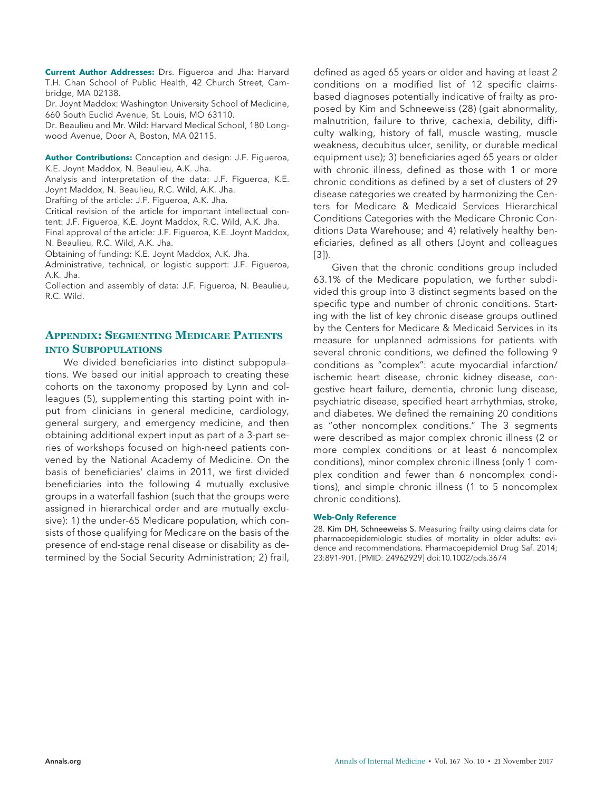**Current Author Addresses:** Drs. Figueroa and Jha: Harvard T.H. Chan School of Public Health, 42 Church Street, Cambridge, MA 02138.

Dr. Joynt Maddox: Washington University School of Medicine, 660 South Euclid Avenue, St. Louis, MO 63110.

Dr. Beaulieu and Mr. Wild: Harvard Medical School, 180 Longwood Avenue, Door A, Boston, MA 02115.

**Author Contributions:** Conception and design: J.F. Figueroa, K.E. Joynt Maddox, N. Beaulieu, A.K. Jha.

Analysis and interpretation of the data: J.F. Figueroa, K.E. Joynt Maddox, N. Beaulieu, R.C. Wild, A.K. Jha.

Drafting of the article: J.F. Figueroa, A.K. Jha.

Critical revision of the article for important intellectual content: J.F. Figueroa, K.E. Joynt Maddox, R.C. Wild, A.K. Jha.

Final approval of the article: J.F. Figueroa, K.E. Joynt Maddox, N. Beaulieu, R.C. Wild, A.K. Jha.

Obtaining of funding: K.E. Joynt Maddox, A.K. Jha.

Administrative, technical, or logistic support: J.F. Figueroa, A.K. Jha.

Collection and assembly of data: J.F. Figueroa, N. Beaulieu, R.C. Wild.

#### **APPENDIX: SEGMENTING MEDICARE PATIENTS INTO SUBPOPULATIONS**

We divided beneficiaries into distinct subpopulations. We based our initial approach to creating these cohorts on the taxonomy proposed by Lynn and colleagues (5), supplementing this starting point with input from clinicians in general medicine, cardiology, general surgery, and emergency medicine, and then obtaining additional expert input as part of a 3-part series of workshops focused on high-need patients convened by the National Academy of Medicine. On the basis of beneficiaries' claims in 2011, we first divided beneficiaries into the following 4 mutually exclusive groups in a waterfall fashion (such that the groups were assigned in hierarchical order and are mutually exclusive): 1) the under-65 Medicare population, which consists of those qualifying for Medicare on the basis of the presence of end-stage renal disease or disability as determined by the Social Security Administration; 2) frail,

defined as aged 65 years or older and having at least 2 conditions on a modified list of 12 specific claimsbased diagnoses potentially indicative of frailty as proposed by Kim and Schneeweiss (28) (gait abnormality, malnutrition, failure to thrive, cachexia, debility, difficulty walking, history of fall, muscle wasting, muscle weakness, decubitus ulcer, senility, or durable medical equipment use); 3) beneficiaries aged 65 years or older with chronic illness, defined as those with 1 or more chronic conditions as defined by a set of clusters of 29 disease categories we created by harmonizing the Centers for Medicare & Medicaid Services Hierarchical Conditions Categories with the Medicare Chronic Conditions Data Warehouse; and 4) relatively healthy beneficiaries, defined as all others (Joynt and colleagues [3]).

Given that the chronic conditions group included 63.1% of the Medicare population, we further subdivided this group into 3 distinct segments based on the specific type and number of chronic conditions. Starting with the list of key chronic disease groups outlined by the Centers for Medicare & Medicaid Services in its measure for unplanned admissions for patients with several chronic conditions, we defined the following 9 conditions as "complex": acute myocardial infarction/ ischemic heart disease, chronic kidney disease, congestive heart failure, dementia, chronic lung disease, psychiatric disease, specified heart arrhythmias, stroke, and diabetes. We defined the remaining 20 conditions as "other noncomplex conditions." The 3 segments were described as major complex chronic illness (2 or more complex conditions or at least 6 noncomplex conditions), minor complex chronic illness (only 1 complex condition and fewer than 6 noncomplex conditions), and simple chronic illness (1 to 5 noncomplex chronic conditions).

#### **Web-Only Reference**

28. Kim DH, Schneeweiss S. Measuring frailty using claims data for pharmacoepidemiologic studies of mortality in older adults: evidence and recommendations. Pharmacoepidemiol Drug Saf. 2014; 23:891-901. [PMID: 24962929] doi:10.1002/pds.3674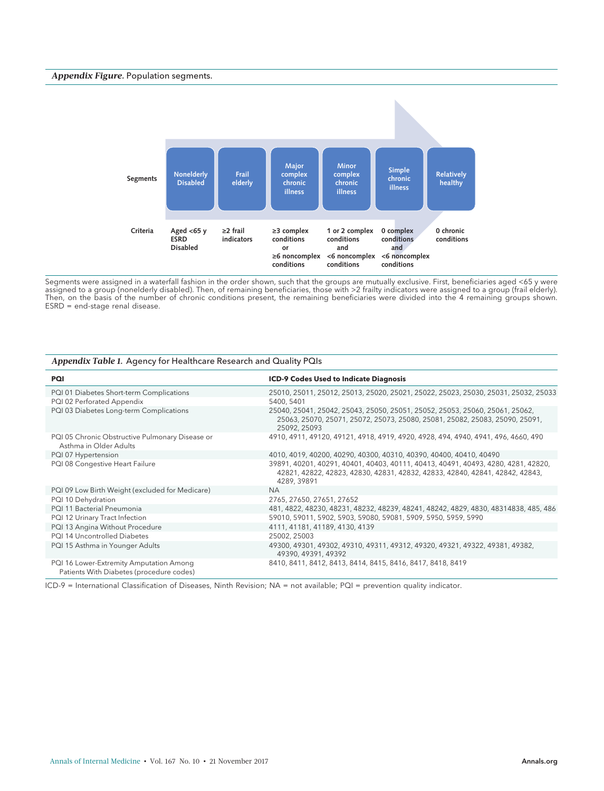#### *Appendix Figure.* Population segments.



Segments were assigned in a waterfall fashion in the order shown, such that the groups are mutually exclusive. First, beneficiaries aged <65 y were assigned to a group (nonelderly disabled). Then, of remaining beneficiaries, those with >2 frailty indicators were assigned to a group (frail elderly). Then, on the basis of the number of chronic conditions present, the remaining beneficiaries were divided into the 4 remaining groups shown.  $ESRD = end-stage renal disease.$ 

| $\mu$                                                                               |                                                                                                                                                                                  |  |  |  |  |  |  |  |
|-------------------------------------------------------------------------------------|----------------------------------------------------------------------------------------------------------------------------------------------------------------------------------|--|--|--|--|--|--|--|
| PQI                                                                                 | <b>ICD-9 Codes Used to Indicate Diagnosis</b>                                                                                                                                    |  |  |  |  |  |  |  |
| PQI 01 Diabetes Short-term Complications                                            | 25010, 25011, 25012, 25013, 25020, 25021, 25022, 25023, 25030, 25031, 25032, 25033                                                                                               |  |  |  |  |  |  |  |
| PQI 02 Perforated Appendix                                                          | 5400, 5401                                                                                                                                                                       |  |  |  |  |  |  |  |
| PQI 03 Diabetes Long-term Complications                                             | 25040, 25041, 25042, 25043, 25050, 25051, 25052, 25053, 25060, 25061, 25062,<br>25063, 25070, 25071, 25072, 25073, 25080, 25081, 25082, 25083, 25090, 25091,<br>25092, 25093     |  |  |  |  |  |  |  |
| PQI 05 Chronic Obstructive Pulmonary Disease or<br>Asthma in Older Adults           | 4910, 4911, 49120, 49121, 4918, 4919, 4920, 4928, 494, 4940, 4941, 496, 4660, 490                                                                                                |  |  |  |  |  |  |  |
| PQI 07 Hypertension                                                                 | 4010, 4019, 40200, 40290, 40300, 40310, 40390, 40400, 40410, 40490                                                                                                               |  |  |  |  |  |  |  |
| PQI 08 Congestive Heart Failure                                                     | 39891, 40201, 40291, 40401, 40403, 40111, 40413, 40491, 40493, 4280, 4281, 42820,<br>42821, 42822, 42823, 42830, 42831, 42832, 42833, 42840, 42841, 42842, 42843,<br>4289, 39891 |  |  |  |  |  |  |  |
| PQI 09 Low Birth Weight (excluded for Medicare)                                     | <b>NA</b>                                                                                                                                                                        |  |  |  |  |  |  |  |
| PQI 10 Dehydration                                                                  | 2765, 27650, 27651, 27652                                                                                                                                                        |  |  |  |  |  |  |  |
| PQI 11 Bacterial Pneumonia                                                          | 481, 4822, 48230, 48231, 48232, 48239, 48241, 48242, 4829, 4830, 48314838, 485, 486                                                                                              |  |  |  |  |  |  |  |
| PQI 12 Urinary Tract Infection                                                      | 59010, 59011, 5902, 5903, 59080, 59081, 5909, 5950, 5959, 5990                                                                                                                   |  |  |  |  |  |  |  |
| PQI 13 Angina Without Procedure                                                     | 4111, 41181, 41189, 4130, 4139                                                                                                                                                   |  |  |  |  |  |  |  |
| PQI 14 Uncontrolled Diabetes                                                        | 25002, 25003                                                                                                                                                                     |  |  |  |  |  |  |  |
| PQI 15 Asthma in Younger Adults                                                     | 49300, 49301, 49302, 49310, 49311, 49312, 49320, 49321, 49322, 49381, 49382,<br>49390, 49391, 49392                                                                              |  |  |  |  |  |  |  |
| PQI 16 Lower-Extremity Amputation Among<br>Patients With Diabetes (procedure codes) | 8410, 8411, 8412, 8413, 8414, 8415, 8416, 8417, 8418, 8419                                                                                                                       |  |  |  |  |  |  |  |

*Appendix Table 1.* Agency for Healthcare Research and Quality PQIs

ICD-9 = International Classification of Diseases, Ninth Revision; NA = not available; PQI = prevention quality indicator.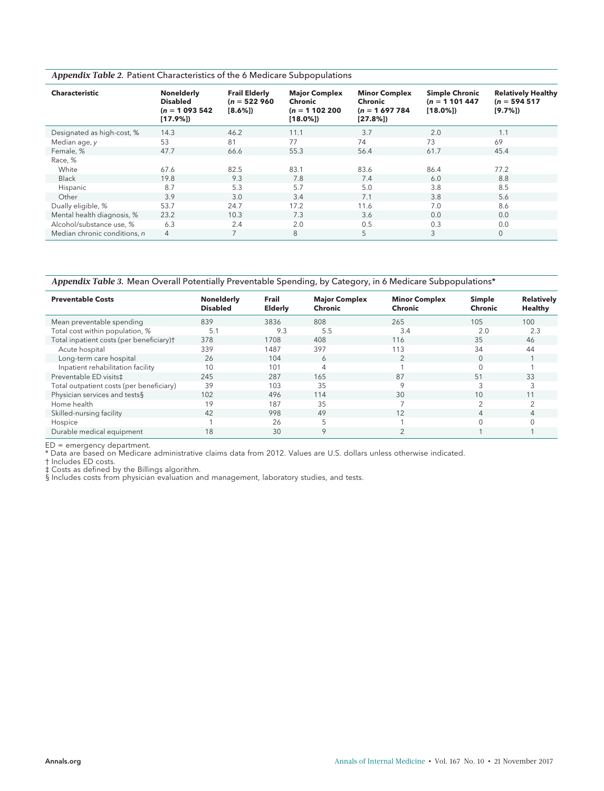| Appendix Table 2. Patient Characteristics of the 6 Medicare Subpopulations |  |  |  |  |  |
|----------------------------------------------------------------------------|--|--|--|--|--|
|----------------------------------------------------------------------------|--|--|--|--|--|

| <b>Characteristic</b>        | <b>Nonelderly</b><br><b>Disabled</b><br>$(n = 1093542)$<br>[17.9%] | <b>Frail Elderly</b><br>$(n = 522960)$<br>$[8.6\%]$ | <b>Major Complex</b><br>Chronic<br>$(n = 1102200)$<br>$[18.0\%]$ | <b>Minor Complex</b><br>Chronic<br>$(n = 1697784)$<br>[27.8%] | <b>Simple Chronic</b><br>$(n = 1101447)$<br>$[18.0\%]$ | <b>Relatively Healthy</b><br>$(n = 594517)$<br>[9.7%] |
|------------------------------|--------------------------------------------------------------------|-----------------------------------------------------|------------------------------------------------------------------|---------------------------------------------------------------|--------------------------------------------------------|-------------------------------------------------------|
| Designated as high-cost, %   | 14.3                                                               | 46.2                                                | 11.1                                                             | 3.7                                                           | 2.0                                                    | 1.1                                                   |
| Median age, y                | 53                                                                 | 81                                                  | 77                                                               | 74                                                            | 73                                                     | 69                                                    |
| Female, %                    | 47.7                                                               | 66.6                                                | 55.3                                                             | 56.4                                                          | 61.7                                                   | 45.4                                                  |
| Race, %                      |                                                                    |                                                     |                                                                  |                                                               |                                                        |                                                       |
| White                        | 67.6                                                               | 82.5                                                | 83.1                                                             | 83.6                                                          | 86.4                                                   | 77.2                                                  |
| <b>Black</b>                 | 19.8                                                               | 9.3                                                 | 7.8                                                              | 7.4                                                           | 6.0                                                    | 8.8                                                   |
| Hispanic                     | 8.7                                                                | 5.3                                                 | 5.7                                                              | 5.0                                                           | 3.8                                                    | 8.5                                                   |
| Other                        | 3.9                                                                | 3.0                                                 | 3.4                                                              | 7.1                                                           | 3.8                                                    | 5.6                                                   |
| Dually eligible, %           | 53.7                                                               | 24.7                                                | 17.2                                                             | 11.6                                                          | 7.0                                                    | 8.6                                                   |
| Mental health diagnosis, %   | 23.2                                                               | 10.3                                                | 7.3                                                              | 3.6                                                           | 0.0                                                    | 0.0                                                   |
| Alcohol/substance use, %     | 6.3                                                                | 2.4                                                 | 2.0                                                              | 0.5                                                           | 0.3                                                    | 0.0                                                   |
| Median chronic conditions, n | $\overline{4}$                                                     | $\overline{7}$                                      | 8                                                                | 5                                                             | 3                                                      | $\mathbf{0}$                                          |

*Appendix Table 3.* Mean Overall Potentially Preventable Spending, by Category, in 6 Medicare Subpopulations\*

| <b>Preventable Costs</b>                             | <b>Nonelderly</b><br><b>Disabled</b> | Frail<br><b>Elderly</b> | <b>Major Complex</b><br>Chronic | <b>Minor Complex</b><br>Chronic | Simple<br>Chronic | <b>Relatively</b><br>Healthy |
|------------------------------------------------------|--------------------------------------|-------------------------|---------------------------------|---------------------------------|-------------------|------------------------------|
| Mean preventable spending                            | 839                                  | 3836                    | 808                             | 265                             | 105               | 100                          |
| Total cost within population, %                      | 5.1                                  | 9.3                     | 5.5                             | 3.4                             | 2.0               | 2.3                          |
| Total inpatient costs (per beneficiary) <sup>+</sup> | 378                                  | 1708                    | 408                             | 116                             | 35                | 46                           |
| Acute hospital                                       | 339                                  | 1487                    | 397                             | 113                             | 34                | 44                           |
| Long-term care hospital                              | 26                                   | 104                     | 6                               |                                 | $\Omega$          |                              |
| Inpatient rehabilitation facility                    | 10                                   | 101                     | $\overline{4}$                  |                                 |                   |                              |
| Preventable ED visits <sup>±</sup>                   | 245                                  | 287                     | 165                             | 87                              | 51                | 33                           |
| Total outpatient costs (per beneficiary)             | 39                                   | 103                     | 35                              | $\circ$                         |                   |                              |
| Physician services and tests§                        | 102                                  | 496                     | 114                             | 30                              | 10                | 11                           |
| Home health                                          | 19                                   | 187                     | 35                              |                                 | $\sim$            |                              |
| Skilled-nursing facility                             | 42                                   | 998                     | 49                              | 12                              |                   |                              |
| Hospice                                              |                                      | 26                      | 5                               |                                 | $\Omega$          |                              |
| Durable medical equipment                            | 18                                   | 30                      | 9                               |                                 |                   |                              |

ED = emergency department.

\* Data are based on Medicare administrative claims data from 2012. Values are U.S. dollars unless otherwise indicated.

† Includes ED costs.

‡ Costs as defined by the Billings algorithm.

§ Includes costs from physician evaluation and management, laboratory studies, and tests.